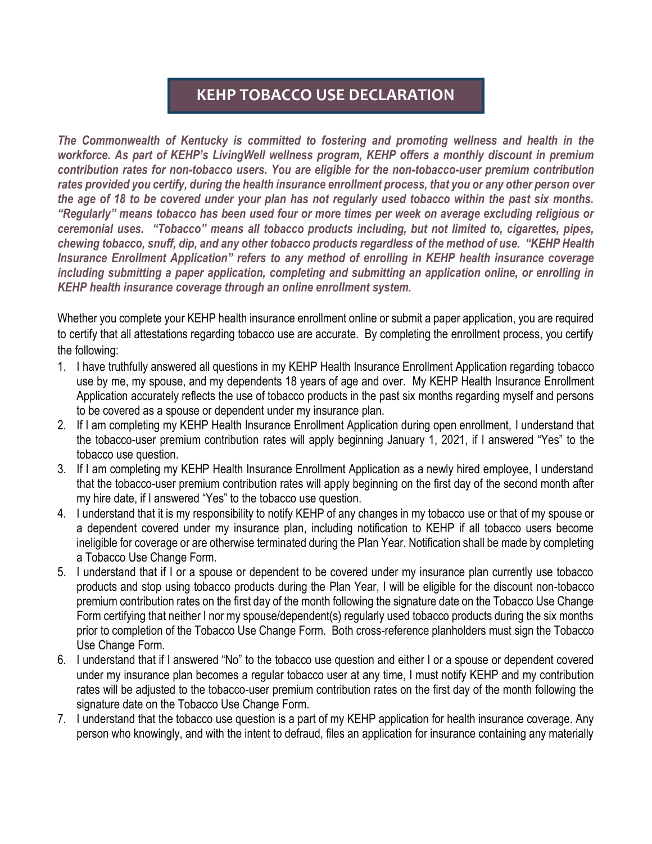## **KEHP TOBACCO USE DECLARATION**

*The Commonwealth of Kentucky is committed to fostering and promoting wellness and health in the workforce. As part of KEHP's LivingWell wellness program, KEHP offers a monthly discount in premium contribution rates for non-tobacco users. You are eligible for the non-tobacco-user premium contribution rates provided you certify, during the health insurance enrollment process, that you or any other person over the age of 18 to be covered under your plan has not regularly used tobacco within the past six months. "Regularly" means tobacco has been used four or more times per week on average excluding religious or ceremonial uses. "Tobacco" means all tobacco products including, but not limited to, cigarettes, pipes, chewing tobacco, snuff, dip, and any other tobacco products regardless of the method of use. "KEHP Health Insurance Enrollment Application" refers to any method of enrolling in KEHP health insurance coverage including submitting a paper application, completing and submitting an application online, or enrolling in KEHP health insurance coverage through an online enrollment system.* 

Whether you complete your KEHP health insurance enrollment online or submit a paper application, you are required to certify that all attestations regarding tobacco use are accurate. By completing the enrollment process, you certify the following:

- 1. I have truthfully answered all questions in my KEHP Health Insurance Enrollment Application regarding tobacco use by me, my spouse, and my dependents 18 years of age and over. My KEHP Health Insurance Enrollment Application accurately reflects the use of tobacco products in the past six months regarding myself and persons to be covered as a spouse or dependent under my insurance plan.
- 2. If I am completing my KEHP Health Insurance Enrollment Application during open enrollment, I understand that the tobacco-user premium contribution rates will apply beginning January 1, 2021, if I answered "Yes" to the tobacco use question.
- 3. If I am completing my KEHP Health Insurance Enrollment Application as a newly hired employee, I understand that the tobacco-user premium contribution rates will apply beginning on the first day of the second month after my hire date, if I answered "Yes" to the tobacco use question.
- 4. I understand that it is my responsibility to notify KEHP of any changes in my tobacco use or that of my spouse or a dependent covered under my insurance plan, including notification to KEHP if all tobacco users become ineligible for coverage or are otherwise terminated during the Plan Year. Notification shall be made by completing a Tobacco Use Change Form.
- 5. I understand that if I or a spouse or dependent to be covered under my insurance plan currently use tobacco products and stop using tobacco products during the Plan Year, I will be eligible for the discount non-tobacco premium contribution rates on the first day of the month following the signature date on the Tobacco Use Change Form certifying that neither I nor my spouse/dependent(s) regularly used tobacco products during the six months prior to completion of the Tobacco Use Change Form. Both cross-reference planholders must sign the Tobacco Use Change Form.
- 6. I understand that if I answered "No" to the tobacco use question and either I or a spouse or dependent covered under my insurance plan becomes a regular tobacco user at any time, I must notify KEHP and my contribution rates will be adjusted to the tobacco-user premium contribution rates on the first day of the month following the signature date on the Tobacco Use Change Form.
- 7. I understand that the tobacco use question is a part of my KEHP application for health insurance coverage. Any person who knowingly, and with the intent to defraud, files an application for insurance containing any materially